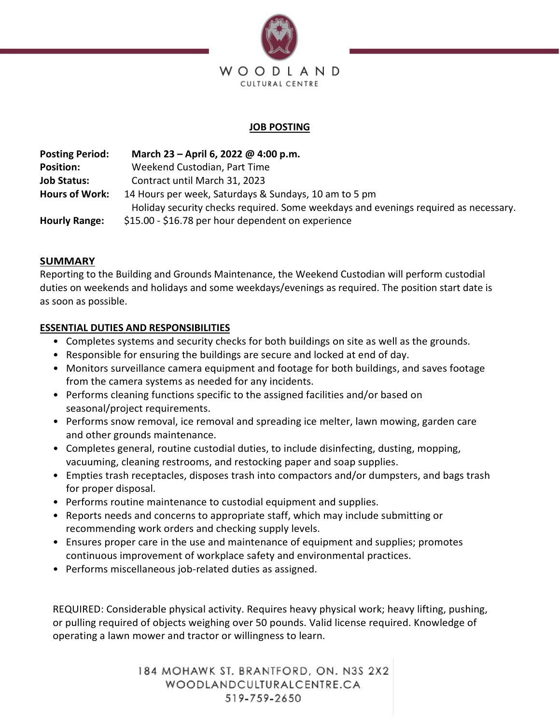

# **JOB POSTING**

**Posting Period: March 23 – April 6, 2022 @ 4:00 p.m. Position:** Weekend Custodian, Part Time **Job Status:** Contract until March 31, 2023 **Hours of Work:** 14 Hours per week, Saturdays & Sundays, 10 am to 5 pm Holiday security checks required. Some weekdays and evenings required as necessary. **Hourly Range:** \$15.00 - \$16.78 per hour dependent on experience

# **SUMMARY**

Reporting to the Building and Grounds Maintenance, the Weekend Custodian will perform custodial duties on weekends and holidays and some weekdays/evenings as required. The position start date is as soon as possible.

### **ESSENTIAL DUTIES AND RESPONSIBILITIES**

- Completes systems and security checks for both buildings on site as well as the grounds.
- Responsible for ensuring the buildings are secure and locked at end of day.
- Monitors surveillance camera equipment and footage for both buildings, and saves footage from the camera systems as needed for any incidents.
- Performs cleaning functions specific to the assigned facilities and/or based on seasonal/project requirements.
- Performs snow removal, ice removal and spreading ice melter, lawn mowing, garden care and other grounds maintenance.
- Completes general, routine custodial duties, to include disinfecting, dusting, mopping, vacuuming, cleaning restrooms, and restocking paper and soap supplies.
- Empties trash receptacles, disposes trash into compactors and/or dumpsters, and bags trash for proper disposal.
- Performs routine maintenance to custodial equipment and supplies.
- Reports needs and concerns to appropriate staff, which may include submitting or recommending work orders and checking supply levels.
- Ensures proper care in the use and maintenance of equipment and supplies; promotes continuous improvement of workplace safety and environmental practices.
- Performs miscellaneous job-related duties as assigned.

REQUIRED: Considerable physical activity. Requires heavy physical work; heavy lifting, pushing, or pulling required of objects weighing over 50 pounds. Valid license required. Knowledge of operating a lawn mower and tractor or willingness to learn.

> 184 MOHAWK ST. BRANTFORD, ON. N3S 2X2 WOODLANDCULTURALCENTRE.CA 519-759-2650